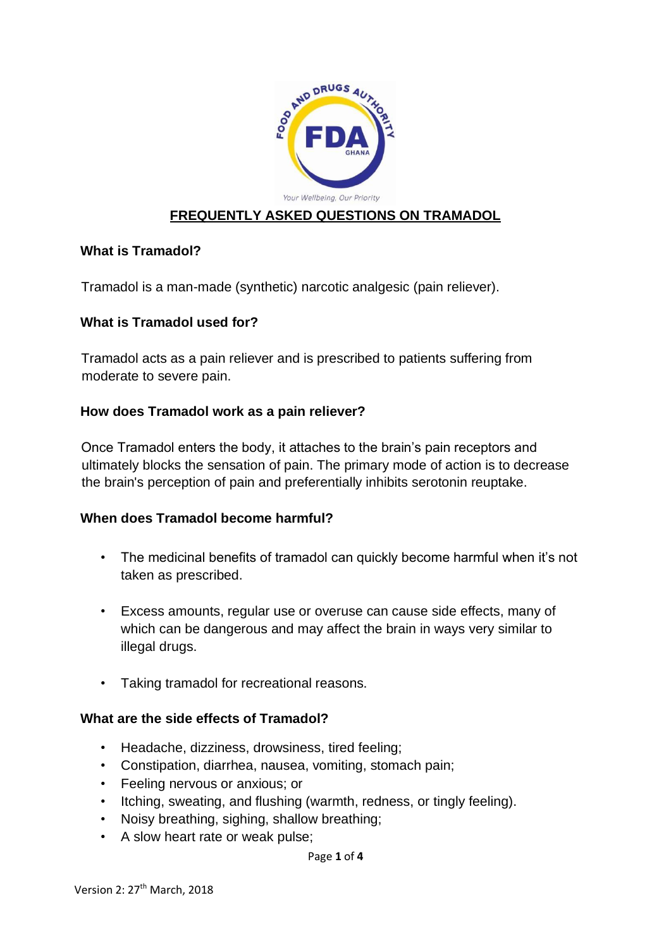

## **FREQUENTLY ASKED QUESTIONS ON TRAMADOL**

## **What is Tramadol?**

Tramadol is a man-made (synthetic) narcotic analgesic (pain reliever).

## **What is Tramadol used for?**

Tramadol acts as a pain reliever and is prescribed to patients suffering from moderate to severe pain.

## **How does Tramadol work as a pain reliever?**

Once Tramadol enters the body, it attaches to the brain's pain receptors and ultimately blocks the sensation of pain. The primary mode of action is to decrease the brain's perception of pain and preferentially inhibits serotonin reuptake.

#### **When does Tramadol become harmful?**

- The medicinal benefits of tramadol can quickly become harmful when it's not taken as prescribed.
- Excess amounts, regular use or overuse can cause side effects, many of which can be dangerous and may affect the brain in ways very similar to illegal drugs.
- Taking tramadol for recreational reasons.

#### **What are the side effects of Tramadol?**

- Headache, dizziness, drowsiness, tired feeling;
- Constipation, diarrhea, nausea, vomiting, stomach pain;
- Feeling nervous or anxious; or
- Itching, sweating, and flushing (warmth, redness, or tingly feeling).
- Noisy breathing, sighing, shallow breathing;
- A slow heart rate or weak pulse;

#### Page **1** of **4**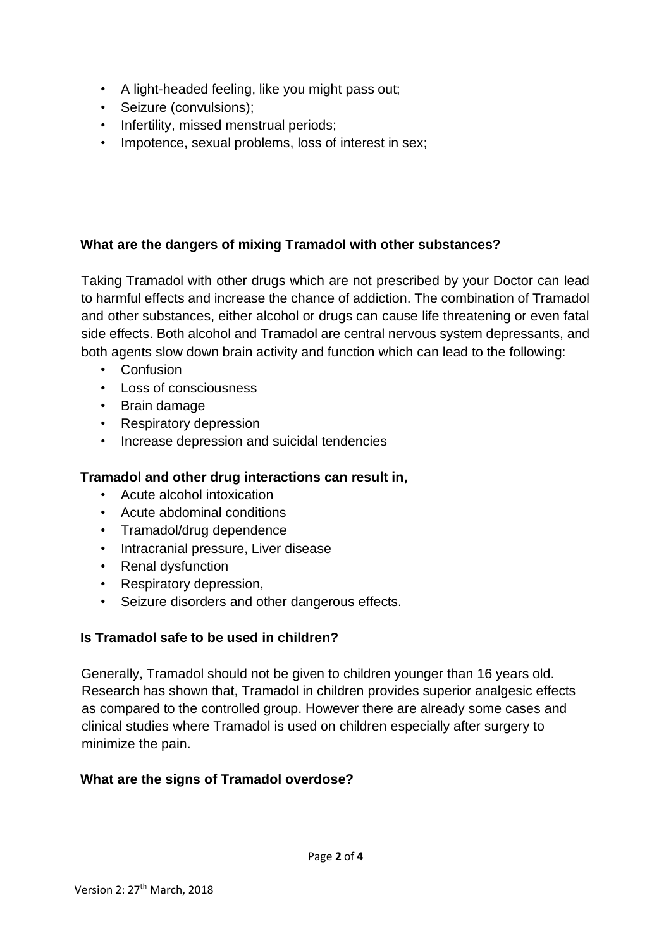- A light-headed feeling, like you might pass out;
- Seizure (convulsions);
- Infertility, missed menstrual periods;
- Impotence, sexual problems, loss of interest in sex;

## **What are the dangers of mixing Tramadol with other substances?**

Taking Tramadol with other drugs which are not prescribed by your Doctor can lead to harmful effects and increase the chance of addiction. The combination of Tramadol and other substances, either alcohol or drugs can cause life threatening or even fatal side effects. Both alcohol and Tramadol are central nervous system depressants, and both agents slow down brain activity and function which can lead to the following:

- Confusion
- Loss of consciousness
- Brain damage
- Respiratory depression
- Increase depression and suicidal tendencies

## **Tramadol and other drug interactions can result in,**

- Acute alcohol intoxication
- Acute abdominal conditions
- Tramadol/drug dependence
- Intracranial pressure, Liver disease
- Renal dysfunction
- Respiratory depression,
- Seizure disorders and other dangerous effects.

# **Is Tramadol safe to be used in children?**

Generally, Tramadol should not be given to children younger than 16 years old. Research has shown that, Tramadol in children provides superior analgesic effects as compared to the controlled group. However there are already some cases and clinical studies where Tramadol is used on children especially after surgery to minimize the pain.

## **What are the signs of Tramadol overdose?**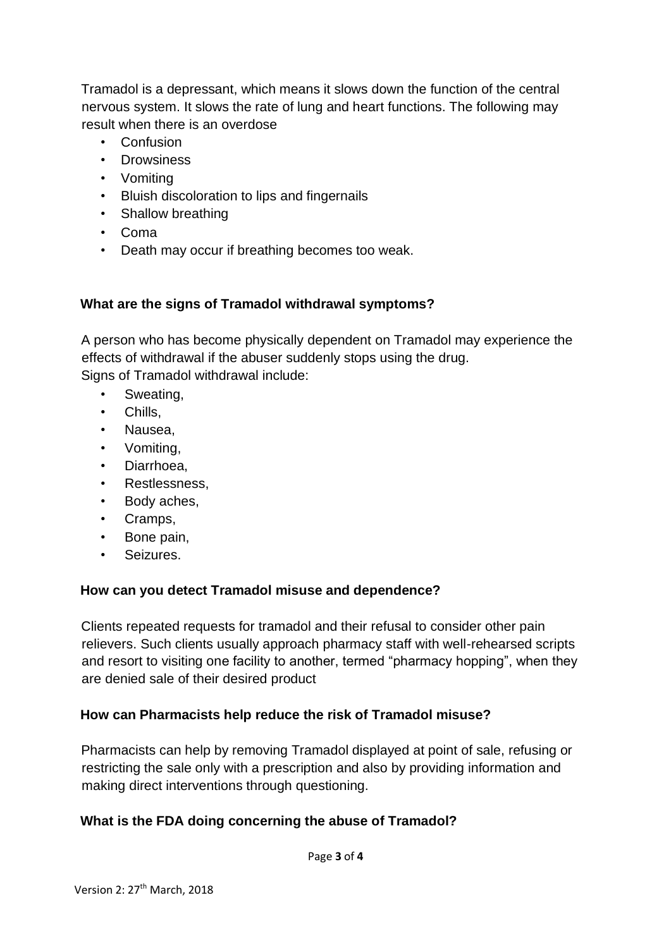Tramadol is a depressant, which means it slows down the function of the central nervous system. It slows the rate of lung and heart functions. The following may result when there is an overdose

- Confusion
- Drowsiness
- Vomiting
- Bluish discoloration to lips and fingernails
- Shallow breathing
- Coma
- Death may occur if breathing becomes too weak.

## **What are the signs of Tramadol withdrawal symptoms?**

A person who has become physically [dependent](http://www.projectknow.com/research/tolerance-and-dependence/) on Tramadol may experience the effects of withdrawal if the abuser suddenly stops using the drug. Signs of Tramadol withdrawal include:

- Sweating,
- Chills,
- Nausea,
- Vomiting,
- Diarrhoea.
- Restlessness,
- Body aches,
- Cramps,
- Bone pain,
- Seizures.

#### **How can you detect Tramadol misuse and dependence?**

Clients repeated requests for tramadol and their refusal to consider other pain relievers. Such clients usually approach pharmacy staff with well-rehearsed scripts and resort to visiting one facility to another, termed "pharmacy hopping", when they are denied sale of their desired product

#### **How can Pharmacists help reduce the risk of Tramadol misuse?**

Pharmacists can help by removing Tramadol displayed at point of sale, refusing or restricting the sale only with a prescription and also by providing information and making direct interventions through questioning.

## **What is the FDA doing concerning the abuse of Tramadol?**